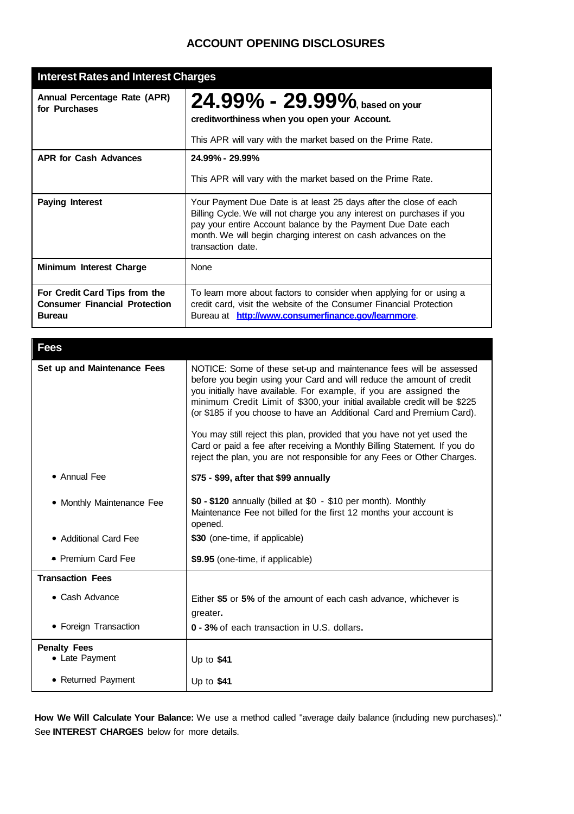# **ACCOUNT OPENING DISCLOSURES**

| <b>Interest Rates and Interest Charges</b>                                             |                                                                                                                                                                                                                                                                                                    |
|----------------------------------------------------------------------------------------|----------------------------------------------------------------------------------------------------------------------------------------------------------------------------------------------------------------------------------------------------------------------------------------------------|
| Annual Percentage Rate (APR)<br>for Purchases                                          | $24.99\%$ - $29.99\%$ , based on your<br>creditworthiness when you open your Account.<br>This APR will vary with the market based on the Prime Rate.                                                                                                                                               |
| <b>APR for Cash Advances</b>                                                           | 24.99% - 29.99%                                                                                                                                                                                                                                                                                    |
|                                                                                        | This APR will vary with the market based on the Prime Rate.                                                                                                                                                                                                                                        |
| <b>Paying Interest</b>                                                                 | Your Payment Due Date is at least 25 days after the close of each<br>Billing Cycle. We will not charge you any interest on purchases if you<br>pay your entire Account balance by the Payment Due Date each<br>month. We will begin charging interest on cash advances on the<br>transaction date. |
| Minimum Interest Charge                                                                | None                                                                                                                                                                                                                                                                                               |
| For Credit Card Tips from the<br><b>Consumer Financial Protection</b><br><b>Bureau</b> | To learn more about factors to consider when applying for or using a<br>credit card, visit the website of the Consumer Financial Protection<br>Bureau at http://www.consumerfinance.gov/learnmore.                                                                                                 |

| <b>Fees</b>                           |                                                                                                                                                                                                                                                                                                                                                                          |
|---------------------------------------|--------------------------------------------------------------------------------------------------------------------------------------------------------------------------------------------------------------------------------------------------------------------------------------------------------------------------------------------------------------------------|
| Set up and Maintenance Fees           | NOTICE: Some of these set-up and maintenance fees will be assessed<br>before you begin using your Card and will reduce the amount of credit<br>you initially have available. For example, if you are assigned the<br>minimum Credit Limit of \$300, your initial available credit will be \$225<br>(or \$185 if you choose to have an Additional Card and Premium Card). |
|                                       | You may still reject this plan, provided that you have not yet used the<br>Card or paid a fee after receiving a Monthly Billing Statement. If you do<br>reject the plan, you are not responsible for any Fees or Other Charges.                                                                                                                                          |
| • Annual Fee                          | \$75 - \$99, after that \$99 annually                                                                                                                                                                                                                                                                                                                                    |
| • Monthly Maintenance Fee             | $$0 - $120$ annually (billed at $$0 - $10$ per month). Monthly<br>Maintenance Fee not billed for the first 12 months your account is<br>opened.                                                                                                                                                                                                                          |
| • Additional Card Fee                 | \$30 (one-time, if applicable)                                                                                                                                                                                                                                                                                                                                           |
| • Premium Card Fee                    | \$9.95 (one-time, if applicable)                                                                                                                                                                                                                                                                                                                                         |
| <b>Transaction Fees</b>               |                                                                                                                                                                                                                                                                                                                                                                          |
| • Cash Advance                        | Either \$5 or 5% of the amount of each cash advance, whichever is<br>greater.                                                                                                                                                                                                                                                                                            |
| • Foreign Transaction                 | 0 - 3% of each transaction in U.S. dollars.                                                                                                                                                                                                                                                                                                                              |
| <b>Penalty Fees</b><br>• Late Payment | Up to $$41$                                                                                                                                                                                                                                                                                                                                                              |
| • Returned Payment                    | Up to $$41$                                                                                                                                                                                                                                                                                                                                                              |

**How We Will Calculate Your Balance:** We use a method called "average daily balance (including new purchases)." See **INTEREST CHARGES** below for more details.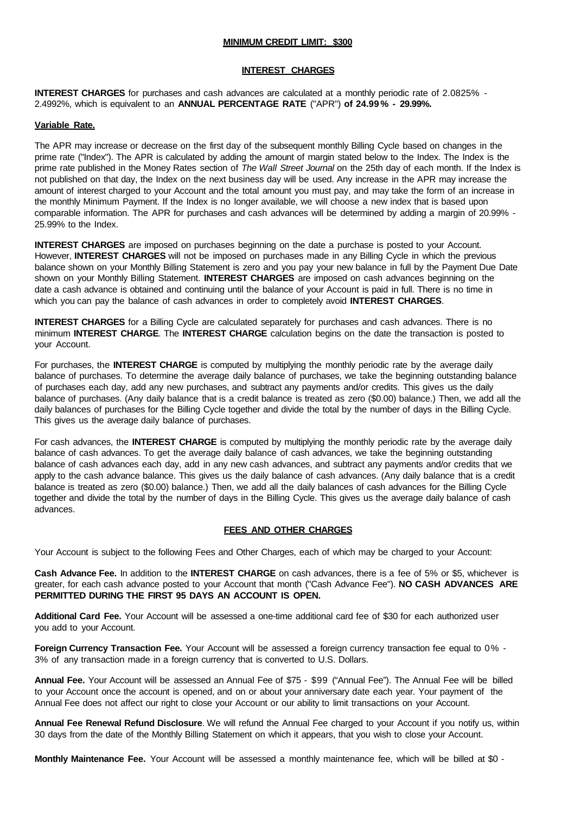#### **MINIMUM CREDIT LIMIT: \$300**

#### **INTEREST CHARGES**

**INTEREST CHARGES** for purchases and cash advances are calculated at a monthly periodic rate of 2.0825% - 2.4992%, which is equivalent to an **ANNUAL PERCENTAGE RATE** ("APR") **of 24.99 % - 29.99%.**

## **Variable Rate.**

The APR may increase or decrease on the first day of the subsequent monthly Billing Cycle based on changes in the prime rate ("Index"). The APR is calculated by adding the amount of margin stated below to the Index. The Index is the prime rate published in the Money Rates section of *The Wall Street Journal* on the 25th day of each month. If the Index is not published on that day, the Index on the next business day will be used. Any increase in the APR may increase the amount of interest charged to your Account and the total amount you must pay, and may take the form of an increase in the monthly Minimum Payment. If the Index is no longer available, we will choose a new index that is based upon comparable information. The APR for purchases and cash advances will be determined by adding a margin of 20.99% - 25.99% to the Index.

**INTEREST CHARGES** are imposed on purchases beginning on the date a purchase is posted to your Account. However, **INTEREST CHARGES** will not be imposed on purchases made in any Billing Cycle in which the previous balance shown on your Monthly Billing Statement is zero and you pay your new balance in full by the Payment Due Date shown on your Monthly Billing Statement. **INTEREST CHARGES** are imposed on cash advances beginning on the date a cash advance is obtained and continuing until the balance of your Account is paid in full. There is no time in which you can pay the balance of cash advances in order to completely avoid **INTEREST CHARGES**.

**INTEREST CHARGES** for a Billing Cycle are calculated separately for purchases and cash advances. There is no minimum **INTEREST CHARGE**. The **INTEREST CHARGE** calculation begins on the date the transaction is posted to your Account.

For purchases, the **INTEREST CHARGE** is computed by multiplying the monthly periodic rate by the average daily balance of purchases. To determine the average daily balance of purchases, we take the beginning outstanding balance of purchases each day, add any new purchases, and subtract any payments and/or credits. This gives us the daily balance of purchases. (Any daily balance that is a credit balance is treated as zero (\$0.00) balance.) Then, we add all the daily balances of purchases for the Billing Cycle together and divide the total by the number of days in the Billing Cycle. This gives us the average daily balance of purchases.

For cash advances, the **INTEREST CHARGE** is computed by multiplying the monthly periodic rate by the average daily balance of cash advances. To get the average daily balance of cash advances, we take the beginning outstanding balance of cash advances each day, add in any new cash advances, and subtract any payments and/or credits that we apply to the cash advance balance. This gives us the daily balance of cash advances. (Any daily balance that is a credit balance is treated as zero (\$0.00) balance.) Then, we add all the daily balances of cash advances for the Billing Cycle together and divide the total by the number of days in the Billing Cycle. This gives us the average daily balance of cash advances.

## **FEES AND OTHER CHARGES**

Your Account is subject to the following Fees and Other Charges, each of which may be charged to your Account:

**Cash Advance Fee.** In addition to the **INTEREST CHARGE** on cash advances, there is a fee of 5% or \$5, whichever is greater, for each cash advance posted to your Account that month ("Cash Advance Fee"). **NO CASH ADVANCES ARE PERMITTED DURING THE FIRST 95 DAYS AN ACCOUNT IS OPEN.**

**Additional Card Fee.** Your Account will be assessed a one-time additional card fee of \$30 for each authorized user you add to your Account.

**Foreign Currency Transaction Fee.** Your Account will be assessed a foreign currency transaction fee equal to 0% - 3% of any transaction made in a foreign currency that is converted to U.S. Dollars.

**Annual Fee.** Your Account will be assessed an Annual Fee of \$75 - \$99 ("Annual Fee"). The Annual Fee will be billed to your Account once the account is opened, and on or about your anniversary date each year. Your payment of the Annual Fee does not affect our right to close your Account or our ability to limit transactions on your Account.

**Annual Fee Renewal Refund Disclosure**. We will refund the Annual Fee charged to your Account if you notify us, within 30 days from the date of the Monthly Billing Statement on which it appears, that you wish to close your Account.

**Monthly Maintenance Fee.** Your Account will be assessed a monthly maintenance fee, which will be billed at \$0 -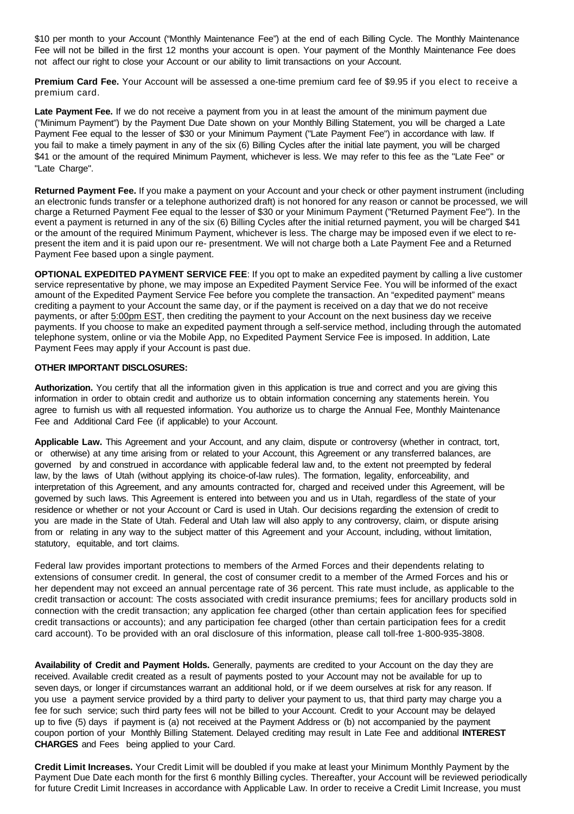\$10 per month to your Account ("Monthly Maintenance Fee") at the end of each Billing Cycle. The Monthly Maintenance Fee will not be billed in the first 12 months your account is open. Your payment of the Monthly Maintenance Fee does not affect our right to close your Account or our ability to limit transactions on your Account.

**Premium Card Fee.** Your Account will be assessed a one-time premium card fee of \$9.95 if you elect to receive a premium card.

**Late Payment Fee.** If we do not receive a payment from you in at least the amount of the minimum payment due ("Minimum Payment") by the Payment Due Date shown on your Monthly Billing Statement, you will be charged a Late Payment Fee equal to the lesser of \$30 or your Minimum Payment ("Late Payment Fee") in accordance with law. If you fail to make a timely payment in any of the six (6) Billing Cycles after the initial late payment, you will be charged \$41 or the amount of the required Minimum Payment, whichever is less. We may refer to this fee as the "Late Fee" or "Late Charge".

**Returned Payment Fee.** If you make a payment on your Account and your check or other payment instrument (including an electronic funds transfer or a telephone authorized draft) is not honored for any reason or cannot be processed, we will charge a Returned Payment Fee equal to the lesser of \$30 or your Minimum Payment ("Returned Payment Fee"). In the event a payment is returned in any of the six (6) Billing Cycles after the initial returned payment, you will be charged \$41 or the amount of the required Minimum Payment, whichever is less. The charge may be imposed even if we elect to represent the item and it is paid upon our re- presentment. We will not charge both a Late Payment Fee and a Returned Payment Fee based upon a single payment.

**OPTIONAL EXPEDITED PAYMENT SERVICE FEE**: If you opt to make an expedited payment by calling a live customer service representative by phone, we may impose an Expedited Payment Service Fee. You will be informed of the exact amount of the Expedited Payment Service Fee before you complete the transaction. An "expedited payment" means crediting a payment to your Account the same day, or if the payment is received on a day that we do not receive payments, or after 5:00pm EST, then crediting the payment to your Account on the next business day we receive payments. If you choose to make an expedited payment through a self-service method, including through the automated telephone system, online or via the Mobile App, no Expedited Payment Service Fee is imposed. In addition, Late Payment Fees may apply if your Account is past due.

## **OTHER IMPORTANT DISCLOSURES:**

**Authorization.** You certify that all the information given in this application is true and correct and you are giving this information in order to obtain credit and authorize us to obtain information concerning any statements herein. You agree to furnish us with all requested information. You authorize us to charge the Annual Fee, Monthly Maintenance Fee and Additional Card Fee (if applicable) to your Account.

**Applicable Law.** This Agreement and your Account, and any claim, dispute or controversy (whether in contract, tort, or otherwise) at any time arising from or related to your Account, this Agreement or any transferred balances, are governed by and construed in accordance with applicable federal law and, to the extent not preempted by federal law, by the laws of Utah (without applying its choice-of-law rules). The formation, legality, enforceability, and interpretation of this Agreement, and any amounts contracted for, charged and received under this Agreement, will be governed by such laws. This Agreement is entered into between you and us in Utah, regardless of the state of your residence or whether or not your Account or Card is used in Utah. Our decisions regarding the extension of credit to you are made in the State of Utah. Federal and Utah law will also apply to any controversy, claim, or dispute arising from or relating in any way to the subject matter of this Agreement and your Account, including, without limitation, statutory, equitable, and tort claims.

Federal law provides important protections to members of the Armed Forces and their dependents relating to extensions of consumer credit. In general, the cost of consumer credit to a member of the Armed Forces and his or her dependent may not exceed an annual percentage rate of 36 percent. This rate must include, as applicable to the credit transaction or account: The costs associated with credit insurance premiums; fees for ancillary products sold in connection with the credit transaction; any application fee charged (other than certain application fees for specified credit transactions or accounts); and any participation fee charged (other than certain participation fees for a credit card account). To be provided with an oral disclosure of this information, please call toll-free 1-800-935-3808.

**Availability of Credit and Payment Holds.** Generally, payments are credited to your Account on the day they are received. Available credit created as a result of payments posted to your Account may not be available for up to seven days, or longer if circumstances warrant an additional hold, or if we deem ourselves at risk for any reason. If you use a payment service provided by a third party to deliver your payment to us, that third party may charge you a fee for such service; such third party fees will not be billed to your Account. Credit to your Account may be delayed up to five (5) days if payment is (a) not received at the Payment Address or (b) not accompanied by the payment coupon portion of your Monthly Billing Statement. Delayed crediting may result in Late Fee and additional **INTEREST CHARGES** and Fees being applied to your Card.

**Credit Limit Increases.** Your Credit Limit will be doubled if you make at least your Minimum Monthly Payment by the Payment Due Date each month for the first 6 monthly Billing cycles. Thereafter, your Account will be reviewed periodically for future Credit Limit Increases in accordance with Applicable Law. In order to receive a Credit Limit Increase, you must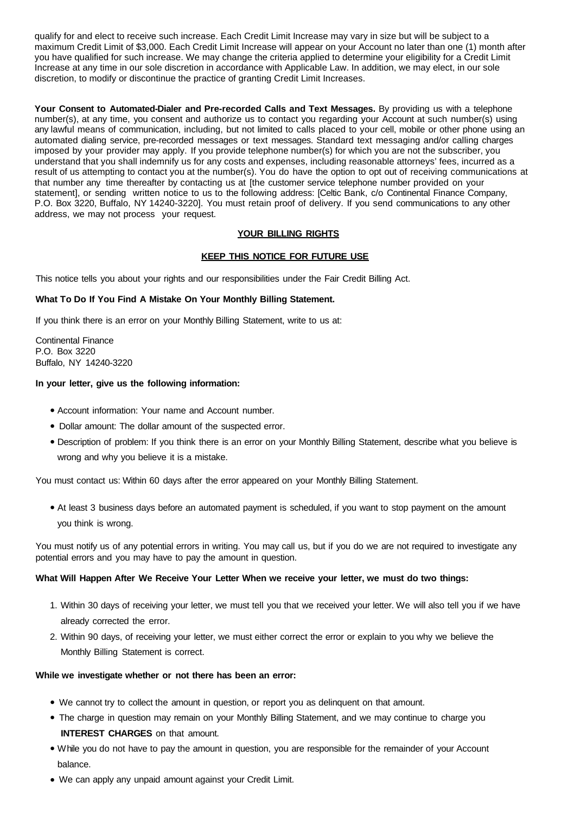qualify for and elect to receive such increase. Each Credit Limit Increase may vary in size but will be subject to a maximum Credit Limit of \$3,000. Each Credit Limit Increase will appear on your Account no later than one (1) month after you have qualified for such increase. We may change the criteria applied to determine your eligibility for a Credit Limit Increase at any time in our sole discretion in accordance with Applicable Law. In addition, we may elect, in our sole discretion, to modify or discontinue the practice of granting Credit Limit Increases.

**Your Consent to Automated-Dialer and Pre-recorded Calls and Text Messages.** By providing us with a telephone number(s), at any time, you consent and authorize us to contact you regarding your Account at such number(s) using any lawful means of communication, including, but not limited to calls placed to your cell, mobile or other phone using an automated dialing service, pre-recorded messages or text messages. Standard text messaging and/or calling charges imposed by your provider may apply. If you provide telephone number(s) for which you are not the subscriber, you understand that you shall indemnify us for any costs and expenses, including reasonable attorneys' fees, incurred as a result of us attempting to contact you at the number(s). You do have the option to opt out of receiving communications at that number any time thereafter by contacting us at [the customer service telephone number provided on your statement], or sending written notice to us to the following address: [Celtic Bank, c/o Continental Finance Company, P.O. Box 3220, Buffalo, NY 14240-3220]. You must retain proof of delivery. If you send communications to any other address, we may not process your request.

## **YOUR BILLING RIGHTS**

## **KEEP THIS NOTICE FOR FUTURE USE**

This notice tells you about your rights and our responsibilities under the Fair Credit Billing Act.

## **What To Do If You Find A Mistake On Your Monthly Billing Statement.**

If you think there is an error on your Monthly Billing Statement, write to us at:

Continental Finance P.O. Box 3220 Buffalo, NY 14240-3220

#### **In your letter, give us the following information:**

- Account information: Your name and Account number.
- Dollar amount: The dollar amount of the suspected error.
- Description of problem: If you think there is an error on your Monthly Billing Statement, describe what you believe is wrong and why you believe it is a mistake.

You must contact us: Within 60 days after the error appeared on your Monthly Billing Statement.

● At least 3 business days before an automated payment is scheduled, if you want to stop payment on the amount you think is wrong.

You must notify us of any potential errors in writing. You may call us, but if you do we are not required to investigate any potential errors and you may have to pay the amount in question.

## **What Will Happen After We Receive Your Letter When we receive your letter, we must do two things:**

- 1. Within 30 days of receiving your letter, we must tell you that we received your letter. We will also tell you if we have already corrected the error.
- 2. Within 90 days, of receiving your letter, we must either correct the error or explain to you why we believe the Monthly Billing Statement is correct.

#### **While we investigate whether or not there has been an error:**

- We cannot try to collect the amount in question, or report you as delinguent on that amount.
- The charge in question may remain on your Monthly Billing Statement, and we may continue to charge you **INTEREST CHARGES** on that amount.
- While you do not have to pay the amount in question, you are responsible for the remainder of your Account balance.
- We can apply any unpaid amount against your Credit Limit.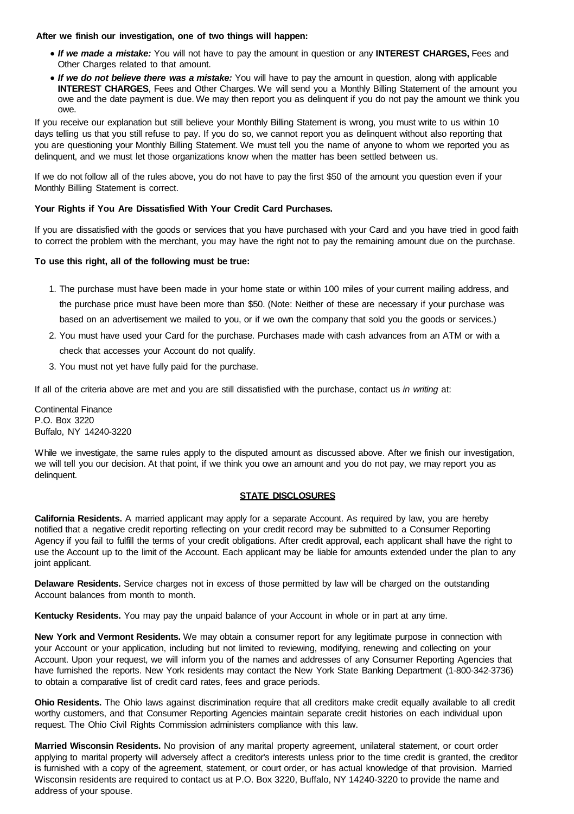**After we finish our investigation, one of two things will happen:**

- *If we made a mistake:* You will not have to pay the amount in question or any **INTEREST CHARGES,** Fees and Other Charges related to that amount.
- *If we do not believe there was a mistake:* You will have to pay the amount in question, along with applicable **INTEREST CHARGES**, Fees and Other Charges. We will send you a Monthly Billing Statement of the amount you owe and the date payment is due. We may then report you as delinquent if you do not pay the amount we think you owe.

If you receive our explanation but still believe your Monthly Billing Statement is wrong, you must write to us within 10 days telling us that you still refuse to pay. If you do so, we cannot report you as delinquent without also reporting that you are questioning your Monthly Billing Statement. We must tell you the name of anyone to whom we reported you as delinquent, and we must let those organizations know when the matter has been settled between us.

If we do not follow all of the rules above, you do not have to pay the first \$50 of the amount you question even if your Monthly Billing Statement is correct.

## **Your Rights if You Are Dissatisfied With Your Credit Card Purchases.**

If you are dissatisfied with the goods or services that you have purchased with your Card and you have tried in good faith to correct the problem with the merchant, you may have the right not to pay the remaining amount due on the purchase.

## **To use this right, all of the following must be true:**

- 1. The purchase must have been made in your home state or within 100 miles of your current mailing address, and the purchase price must have been more than \$50. (Note: Neither of these are necessary if your purchase was based on an advertisement we mailed to you, or if we own the company that sold you the goods or services.)
- 2. You must have used your Card for the purchase. Purchases made with cash advances from an ATM or with a check that accesses your Account do not qualify.
- 3. You must not yet have fully paid for the purchase.

If all of the criteria above are met and you are still dissatisfied with the purchase, contact us *in writing* at:

Continental Finance P.O. Box 3220 Buffalo, NY 14240-3220

While we investigate, the same rules apply to the disputed amount as discussed above. After we finish our investigation, we will tell you our decision. At that point, if we think you owe an amount and you do not pay, we may report you as delinquent.

## **STATE DISCLOSURES**

**California Residents.** A married applicant may apply for a separate Account. As required by law, you are hereby notified that a negative credit reporting reflecting on your credit record may be submitted to a Consumer Reporting Agency if you fail to fulfill the terms of your credit obligations. After credit approval, each applicant shall have the right to use the Account up to the limit of the Account. Each applicant may be liable for amounts extended under the plan to any joint applicant.

**Delaware Residents.** Service charges not in excess of those permitted by law will be charged on the outstanding Account balances from month to month.

**Kentucky Residents.** You may pay the unpaid balance of your Account in whole or in part at any time.

**New York and Vermont Residents.** We may obtain a consumer report for any legitimate purpose in connection with your Account or your application, including but not limited to reviewing, modifying, renewing and collecting on your Account. Upon your request, we will inform you of the names and addresses of any Consumer Reporting Agencies that have furnished the reports. New York residents may contact the New York State Banking Department (1-800-342-3736) to obtain a comparative list of credit card rates, fees and grace periods.

**Ohio Residents.** The Ohio laws against discrimination require that all creditors make credit equally available to all credit worthy customers, and that Consumer Reporting Agencies maintain separate credit histories on each individual upon request. The Ohio Civil Rights Commission administers compliance with this law.

**Married Wisconsin Residents.** No provision of any marital property agreement, unilateral statement, or court order applying to marital property will adversely affect a creditor's interests unless prior to the time credit is granted, the creditor is furnished with a copy of the agreement, statement, or court order, or has actual knowledge of that provision. Married Wisconsin residents are required to contact us at P.O. Box 3220, Buffalo, NY 14240-3220 to provide the name and address of your spouse.